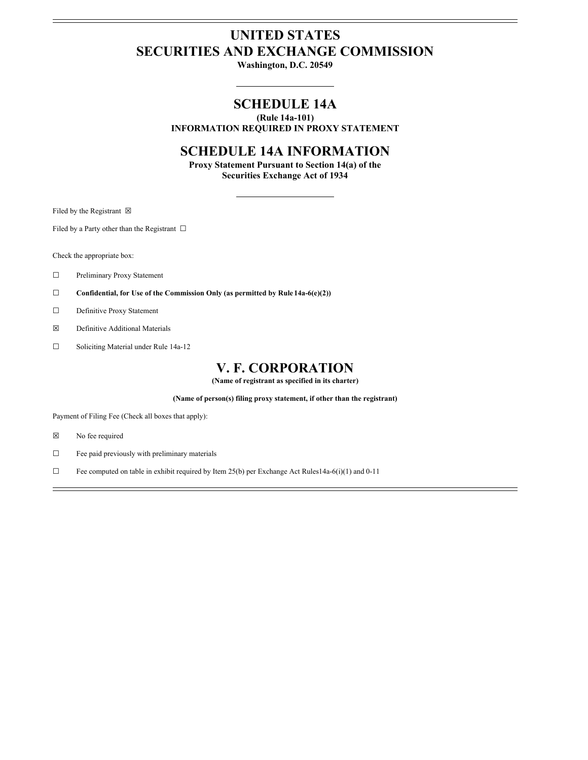# **UNITED STATES SECURITIES AND EXCHANGE COMMISSION**

**Washington, D.C. 20549**

## **SCHEDULE 14A**

**(Rule 14a-101) INFORMATION REQUIRED IN PROXY STATEMENT**

### **SCHEDULE 14A INFORMATION**

**Proxy Statement Pursuant to Section 14(a) of the Securities Exchange Act of 1934**

Filed by the Registrant  $\boxtimes$ 

Filed by a Party other than the Registrant  $\Box$ 

Check the appropriate box:

- ☐ Preliminary Proxy Statement
- ☐ **Confidential, for Use of the Commission Only (as permitted by Rule 14a-6(e)(2))**
- ☐ Definitive Proxy Statement
- ☒ Definitive Additional Materials
- ☐ Soliciting Material under Rule 14a-12

### **V. F. CORPORATION**

**(Name of registrant as specified in its charter)**

**(Name of person(s) filing proxy statement, if other than the registrant)**

Payment of Filing Fee (Check all boxes that apply):

- ☒ No fee required
- ☐ Fee paid previously with preliminary materials
- $\Box$  Fee computed on table in exhibit required by Item 25(b) per Exchange Act Rules14a-6(i)(1) and 0-11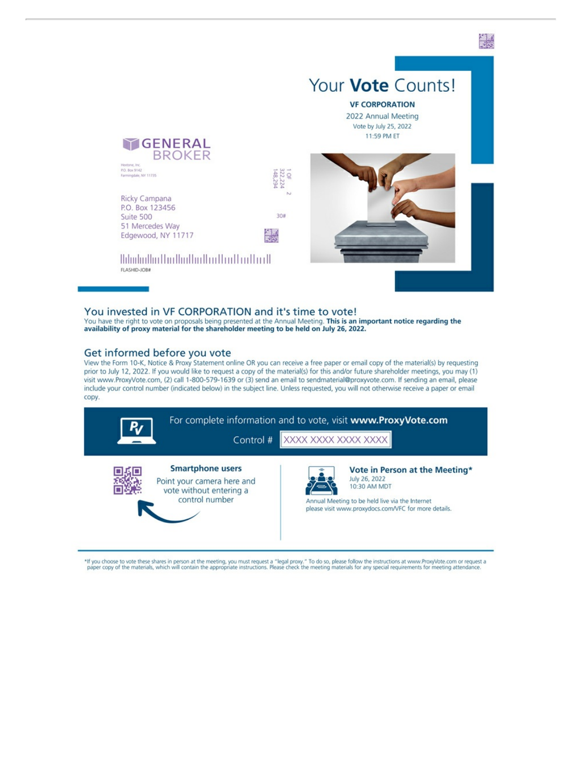

#### You invested in VF CORPORATION and it's time to vote!

You have the right to vote on proposals being presented at the Annual Meeting. This is an important notice regarding the availability of proxy material for the shareholder meeting to be held on July 26, 2022.

#### Get informed before you vote

View the Form 10-K, Notice & Proxy Statement online OR you can receive a free paper or email copy of the material(s) by requesting prior to July 12, 2022. If you would like to request a copy of the material(s) for this and/or future shareholder meetings, you may (1) visit www.ProxyVote.com, (2) call 1-800-579-1639 or (3) send an email to sendmaterial@proxyvote.com. If sending an email, please include your control number (indicated below) in the subject line. Unless requested, you will not otherwise receive a paper or email copy.

| For complete information and to vote, visit www.ProxyVote.com<br>XXXX XXXX XXXX XXXX<br>Control #  |  |                                                                                                                                                                            |  |
|----------------------------------------------------------------------------------------------------|--|----------------------------------------------------------------------------------------------------------------------------------------------------------------------------|--|
| <b>Smartphone users</b><br>Point your camera here and<br>vote without entering a<br>control number |  | Vote in Person at the Meeting*<br>July 26, 2022<br>10:30 AM MDT<br>Annual Meeting to be held live via the Internet<br>please visit www.proxydocs.com/VFC for more details. |  |

\*If you choose to vote these shares in person at the meeting, you must request a "legal proxy." To do so, please follow the instructions at www.ProxyVote.com or request a "legal proxy." To do so, please follow the instruct